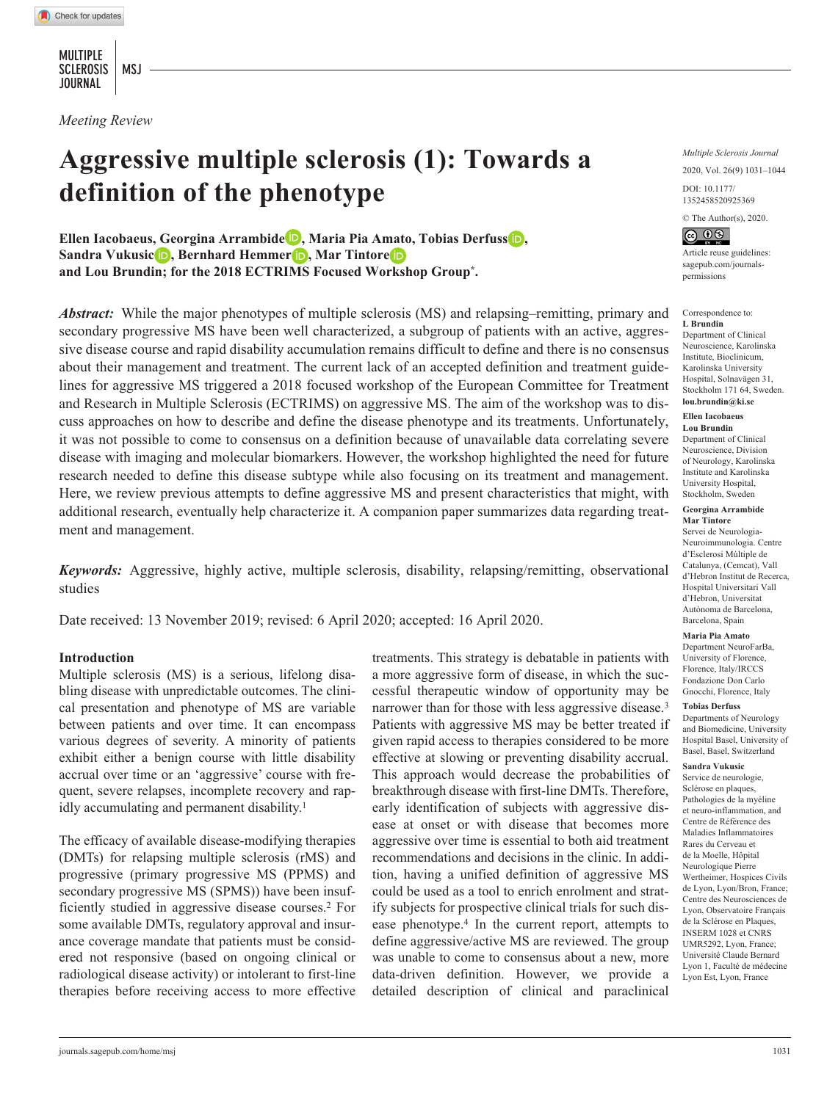MULTIPLE SCLEROSIS | MSJ JOURNAL

*Meeting Review*

# **Aggressive multiple sclerosis (1): Towards a definition of the phenotype**

**Ellen Iacobaeus, Georgina Arrambide , Maria Pia Amato, Tobias Derfuss , Sandra Vukusic<sup>i</sup>D**, Bernhard Hemmer<sup>1</sup>D, Mar Tintore<sup>*i*D</sup> **and Lou Brundin; for the 2018 ECTRIMS Focused Workshop Group\*.**

*Abstract:* While the major phenotypes of multiple sclerosis (MS) and relapsing–remitting, primary and secondary progressive MS have been well characterized, a subgroup of patients with an active, aggressive disease course and rapid disability accumulation remains difficult to define and there is no consensus about their management and treatment. The current lack of an accepted definition and treatment guidelines for aggressive MS triggered a 2018 focused workshop of the European Committee for Treatment and Research in Multiple Sclerosis (ECTRIMS) on aggressive MS. The aim of the workshop was to discuss approaches on how to describe and define the disease phenotype and its treatments. Unfortunately, it was not possible to come to consensus on a definition because of unavailable data correlating severe disease with imaging and molecular biomarkers. However, the workshop highlighted the need for future research needed to define this disease subtype while also focusing on its treatment and management. Here, we review previous attempts to define aggressive MS and present characteristics that might, with additional research, eventually help characterize it. A companion paper summarizes data regarding treatment and management.

*Keywords:* Aggressive, highly active, multiple sclerosis, disability, relapsing/remitting, observational studies

Date received: 13 November 2019; revised: 6 April 2020; accepted: 16 April 2020.

### **Introduction**

Multiple sclerosis (MS) is a serious, lifelong disabling disease with unpredictable outcomes. The clinical presentation and phenotype of MS are variable between patients and over time. It can encompass various degrees of severity. A minority of patients exhibit either a benign course with little disability accrual over time or an 'aggressive' course with frequent, severe relapses, incomplete recovery and rapidly accumulating and permanent disability.<sup>1</sup>

The efficacy of available disease-modifying therapies (DMTs) for relapsing multiple sclerosis (rMS) and progressive (primary progressive MS (PPMS) and secondary progressive MS (SPMS)) have been insufficiently studied in aggressive disease courses.2 For some available DMTs, regulatory approval and insurance coverage mandate that patients must be considered not responsive (based on ongoing clinical or radiological disease activity) or intolerant to first-line therapies before receiving access to more effective

treatments. This strategy is debatable in patients with a more aggressive form of disease, in which the successful therapeutic window of opportunity may be narrower than for those with less aggressive disease.<sup>3</sup> Patients with aggressive MS may be better treated if given rapid access to therapies considered to be more effective at slowing or preventing disability accrual. This approach would decrease the probabilities of breakthrough disease with first-line DMTs. Therefore, early identification of subjects with aggressive disease at onset or with disease that becomes more aggressive over time is essential to both aid treatment recommendations and decisions in the clinic. In addition, having a unified definition of aggressive MS could be used as a tool to enrich enrolment and stratify subjects for prospective clinical trials for such disease phenotype.4 In the current report, attempts to define aggressive/active MS are reviewed. The group was unable to come to consensus about a new, more data-driven definition. However, we provide a detailed description of clinical and paraclinical

*Multiple Sclerosis Journal* 2020, Vol. 26(9) 1031–1044

https://doi.org/10.1177/1352458520925369 1352458520925369

DOI: 10.1177/

© The Author(s), 2020.



Article reuse guidelines: [sagepub.com/journals](https://uk.sagepub.com/en-gb/journals-permissions)[permissions](https://uk.sagepub.com/en-gb/journals-permissions)

#### Correspondence to: **L Brundin**

Department of Clinical Neuroscience, Karolinska Institute, Bioclinicum, Karolinska University Hospital, Solnavägen 31, Stockholm 171 64, Sweden. **lou.brundin@ki.se**

#### **Ellen Iacobaeus Lou Brundin**

Department of Clinical Neuroscience, Division of Neurology, Karolinska Institute and Karolinska University Hospital, Stockholm, Sweden

#### **Georgina Arrambide Mar Tintore**

Servei de Neurologia-Neuroimmunologia. Centre d'Esclerosi Múltiple de Catalunya, (Cemcat), Vall d'Hebron Institut de Recerca, Hospital Universitari Vall d'Hebron, Universitat Autònoma de Barcelona, Barcelona, Spain

#### **Maria Pia Amato**

Department NeuroFarBa, University of Florence, Florence, Italy/IRCCS Fondazione Don Carlo Gnocchi, Florence, Italy

#### **Tobias Derfuss**

Departments of Neurology and Biomedicine, University Hospital Basel, University of Basel, Basel, Switzerland

#### **Sandra Vukusic**

Service de neurologie, Sclérose en plaques, Pathologies de la myéline et neuro-inflammation, and Centre de Référence des Maladies Inflammatoires Rares du Cerveau et de la Moelle, Hôpital Neurologique Pierre Wertheimer, Hospices Civils de Lyon, Lyon/Bron, France; Centre des Neurosciences de Lyon, Observatoire Français de la Sclérose en Plaques, INSERM 1028 et CNRS UMR5292, Lyon, France; Université Claude Bernard Lyon 1, Faculté de médecine Lyon Est, Lyon, France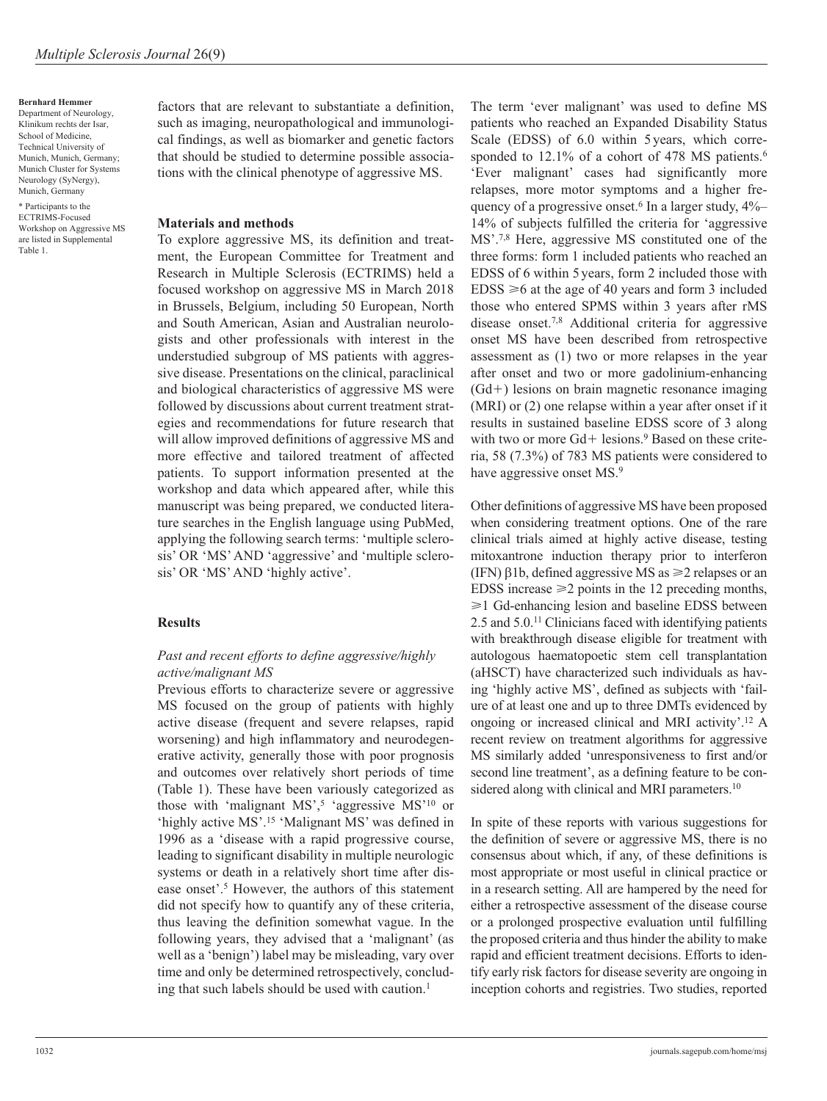**Bernhard Hemmer** Department of Neurology, Klinikum rechts der Isar, School of Medicine, Technical University of Munich, Munich, Germany; Munich Cluster for Systems Neurology (SyNergy), Munich, Germany

\* Participants to the ECTRIMS-Focused Workshop on Aggressive MS are listed in Supplemental Table 1.

factors that are relevant to substantiate a definition, such as imaging, neuropathological and immunological findings, as well as biomarker and genetic factors that should be studied to determine possible associations with the clinical phenotype of aggressive MS.

#### **Materials and methods**

To explore aggressive MS, its definition and treatment, the European Committee for Treatment and Research in Multiple Sclerosis (ECTRIMS) held a focused workshop on aggressive MS in March 2018 in Brussels, Belgium, including 50 European, North and South American, Asian and Australian neurologists and other professionals with interest in the understudied subgroup of MS patients with aggressive disease. Presentations on the clinical, paraclinical and biological characteristics of aggressive MS were followed by discussions about current treatment strategies and recommendations for future research that will allow improved definitions of aggressive MS and more effective and tailored treatment of affected patients. To support information presented at the workshop and data which appeared after, while this manuscript was being prepared, we conducted literature searches in the English language using PubMed, applying the following search terms: 'multiple sclerosis' OR 'MS' AND 'aggressive' and 'multiple sclerosis' OR 'MS' AND 'highly active'.

# **Results**

# *Past and recent efforts to define aggressive/highly active/malignant MS*

Previous efforts to characterize severe or aggressive MS focused on the group of patients with highly active disease (frequent and severe relapses, rapid worsening) and high inflammatory and neurodegenerative activity, generally those with poor prognosis and outcomes over relatively short periods of time (Table 1). These have been variously categorized as those with 'malignant  $MS<sup>5</sup>$ 'aggressive  $MS<sup>10</sup>$  or 'highly active MS'.15 'Malignant MS' was defined in 1996 as a 'disease with a rapid progressive course, leading to significant disability in multiple neurologic systems or death in a relatively short time after disease onset'.5 However, the authors of this statement did not specify how to quantify any of these criteria, thus leaving the definition somewhat vague. In the following years, they advised that a 'malignant' (as well as a 'benign') label may be misleading, vary over time and only be determined retrospectively, concluding that such labels should be used with caution.<sup>1</sup>

The term 'ever malignant' was used to define MS patients who reached an Expanded Disability Status Scale (EDSS) of 6.0 within 5 years, which corresponded to 12.1% of a cohort of 478 MS patients.<sup>6</sup> 'Ever malignant' cases had significantly more relapses, more motor symptoms and a higher frequency of a progressive onset.<sup>6</sup> In a larger study,  $4\%$ -14% of subjects fulfilled the criteria for 'aggressive MS'.7,8 Here, aggressive MS constituted one of the three forms: form 1 included patients who reached an EDSS of 6 within 5 years, form 2 included those with  $EDSS \ge 6$  at the age of 40 years and form 3 included those who entered SPMS within 3 years after rMS disease onset.7,8 Additional criteria for aggressive onset MS have been described from retrospective assessment as (1) two or more relapses in the year after onset and two or more gadolinium-enhancing (Gd+) lesions on brain magnetic resonance imaging (MRI) or (2) one relapse within a year after onset if it results in sustained baseline EDSS score of 3 along with two or more  $Gd+$  lesions.<sup>9</sup> Based on these criteria, 58 (7.3%) of 783 MS patients were considered to have aggressive onset MS.<sup>9</sup>

Other definitions of aggressive MS have been proposed when considering treatment options. One of the rare clinical trials aimed at highly active disease, testing mitoxantrone induction therapy prior to interferon (IFN) β1b, defined aggressive MS as  $\geq 2$  relapses or an EDSS increase  $\geq 2$  points in the 12 preceding months,  $\geq 1$  Gd-enhancing lesion and baseline EDSS between 2.5 and 5.0.11 Clinicians faced with identifying patients with breakthrough disease eligible for treatment with autologous haematopoetic stem cell transplantation (aHSCT) have characterized such individuals as having 'highly active MS', defined as subjects with 'failure of at least one and up to three DMTs evidenced by ongoing or increased clinical and MRI activity'.12 A recent review on treatment algorithms for aggressive MS similarly added 'unresponsiveness to first and/or second line treatment', as a defining feature to be considered along with clinical and MRI parameters.<sup>10</sup>

In spite of these reports with various suggestions for the definition of severe or aggressive MS, there is no consensus about which, if any, of these definitions is most appropriate or most useful in clinical practice or in a research setting. All are hampered by the need for either a retrospective assessment of the disease course or a prolonged prospective evaluation until fulfilling the proposed criteria and thus hinder the ability to make rapid and efficient treatment decisions. Efforts to identify early risk factors for disease severity are ongoing in inception cohorts and registries. Two studies, reported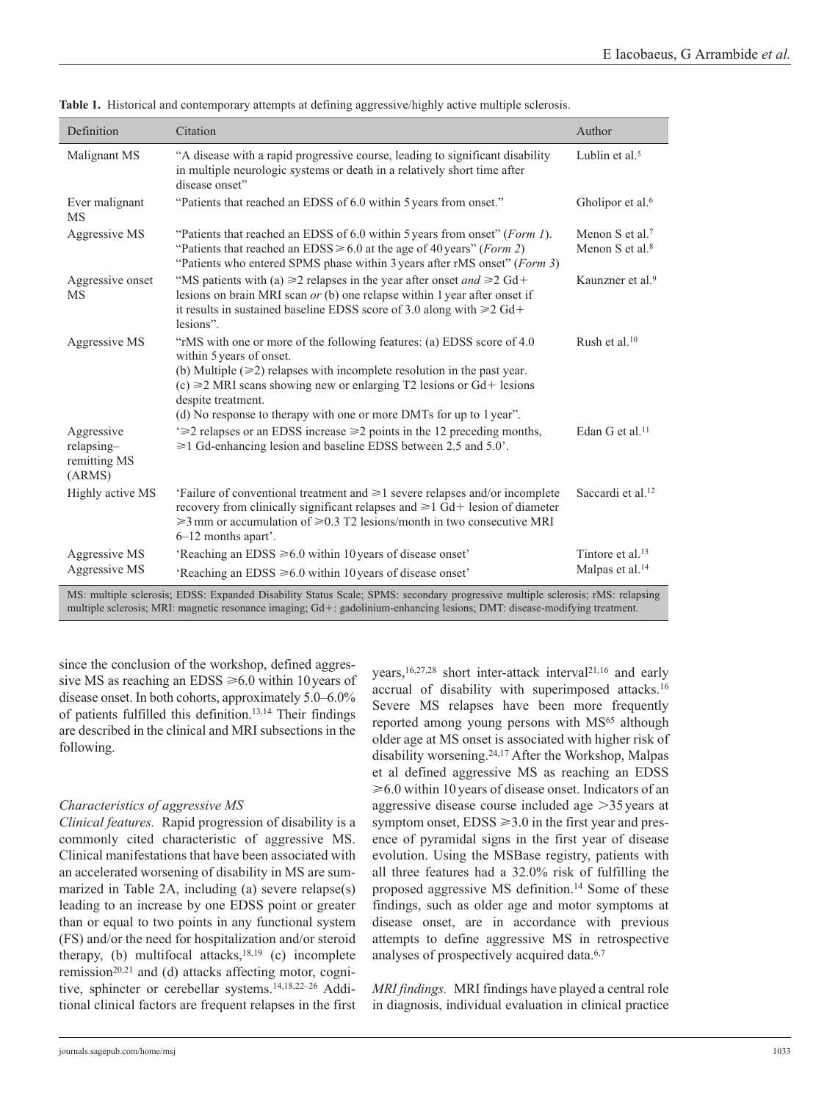| Definition                                                                                                                                                                                                                                                  | Citation                                                                                                                                                                                                                                                                              | Author                                                      |  |  |  |
|-------------------------------------------------------------------------------------------------------------------------------------------------------------------------------------------------------------------------------------------------------------|---------------------------------------------------------------------------------------------------------------------------------------------------------------------------------------------------------------------------------------------------------------------------------------|-------------------------------------------------------------|--|--|--|
| Malignant MS                                                                                                                                                                                                                                                | "A disease with a rapid progressive course, leading to significant disability<br>in multiple neurologic systems or death in a relatively short time after<br>disease onset"                                                                                                           | Lublin et al. $5$                                           |  |  |  |
| Ever malignant<br>MS                                                                                                                                                                                                                                        | "Patients that reached an EDSS of 6.0 within 5 years from onset."                                                                                                                                                                                                                     | Gholipor et al. <sup>6</sup>                                |  |  |  |
| Aggressive MS                                                                                                                                                                                                                                               | "Patients that reached an EDSS of 6.0 within 5 years from onset" (Form 1).<br>"Patients that reached an EDSS $\geq 6.0$ at the age of 40 years" (Form 2)<br>"Patients who entered SPMS phase within 3 years after rMS onset" (Form 3)                                                 | Menon S et al. <sup>7</sup><br>Menon S et al. $8$           |  |  |  |
| Aggressive onset<br><b>MS</b>                                                                                                                                                                                                                               | "MS patients with (a) $\geq 2$ relapses in the year after onset <i>and</i> $\geq 2$ Gd+<br>lesions on brain MRI scan $or$ (b) one relapse within 1 year after onset if<br>it results in sustained baseline EDSS score of 3.0 along with $\geq 2$ Gd+<br>lesions".                     | Kaunzner et al. <sup>9</sup>                                |  |  |  |
| Aggressive MS                                                                                                                                                                                                                                               | "rMS with one or more of the following features: (a) EDSS score of 4.0<br>within 5 years of onset.<br>(b) Multiple $(\geq 2)$ relapses with incomplete resolution in the past year.<br>$(c) \ge 2$ MRI scans showing new or enlarging T2 lesions or Gd+ lesions<br>despite treatment. | Rush et al. $10$                                            |  |  |  |
| Aggressive<br>relapsing-<br>remitting MS<br>(ARMS)                                                                                                                                                                                                          | (d) No response to therapy with one or more DMTs for up to 1 year".<br>$\geq$ 2 relapses or an EDSS increase $\geq$ 2 points in the 12 preceding months,<br>$\geq 1$ Gd-enhancing lesion and baseline EDSS between 2.5 and 5.0'.                                                      | Edan G et al. <sup>11</sup>                                 |  |  |  |
| Highly active MS                                                                                                                                                                                                                                            | Failure of conventional treatment and $\geq 1$ severe relapses and/or incomplete<br>recovery from clinically significant relapses and $\geq 1$ Gd+ lesion of diameter<br>$\geq 3$ mm or accumulation of $\geq 0.3$ T2 lesions/month in two consecutive MRI<br>6–12 months apart'.     | Saccardi et al. <sup>12</sup>                               |  |  |  |
| Aggressive MS<br>Aggressive MS                                                                                                                                                                                                                              | 'Reaching an EDSS $\geq 6.0$ within 10 years of disease onset'<br>'Reaching an EDSS $\geq 6.0$ within 10 years of disease onset'                                                                                                                                                      | Tintore et al. <sup>13</sup><br>Malpas et al. <sup>14</sup> |  |  |  |
| MS: multiple sclerosis; EDSS: Expanded Disability Status Scale; SPMS: secondary progressive multiple sclerosis; rMS: relapsing<br>multiple sclerosis; MRI: magnetic resonance imaging; Gd+: gadolinium-enhancing lesions; DMT: disease-modifying treatment. |                                                                                                                                                                                                                                                                                       |                                                             |  |  |  |

**Table 1.** Historical and contemporary attempts at defining aggressive/highly active multiple sclerosis.

since the conclusion of the workshop, defined aggressive MS as reaching an EDSS  $\geq 6.0$  within 10 years of disease onset. In both cohorts, approximately 5.0–6.0% of patients fulfilled this definition.13,14 Their findings are described in the clinical and MRI subsections in the following.

# *Characteristics of aggressive MS*

*Clinical features.* Rapid progression of disability is a commonly cited characteristic of aggressive MS. Clinical manifestations that have been associated with an accelerated worsening of disability in MS are summarized in Table 2A, including (a) severe relapse(s) leading to an increase by one EDSS point or greater than or equal to two points in any functional system (FS) and/or the need for hospitalization and/or steroid therapy, (b) multifocal attacks, $18,19$  (c) incomplete remission<sup>20,21</sup> and (d) attacks affecting motor, cognitive, sphincter or cerebellar systems.14,18,22–26 Additional clinical factors are frequent relapses in the first years,<sup>16,27,28</sup> short inter-attack interval<sup>21,16</sup> and early accrual of disability with superimposed attacks.16 Severe MS relapses have been more frequently reported among young persons with MS<sup>65</sup> although older age at MS onset is associated with higher risk of disability worsening.24,17 After the Workshop, Malpas et al defined aggressive MS as reaching an EDSS ⩾6.0 within 10years of disease onset. Indicators of an aggressive disease course included age >35years at symptom onset,  $EDSS \ge 3.0$  in the first year and presence of pyramidal signs in the first year of disease evolution. Using the MSBase registry, patients with all three features had a 32.0% risk of fulfilling the proposed aggressive MS definition.14 Some of these findings, such as older age and motor symptoms at disease onset, are in accordance with previous attempts to define aggressive MS in retrospective analyses of prospectively acquired data.6,7

*MRI findings.* MRI findings have played a central role in diagnosis, individual evaluation in clinical practice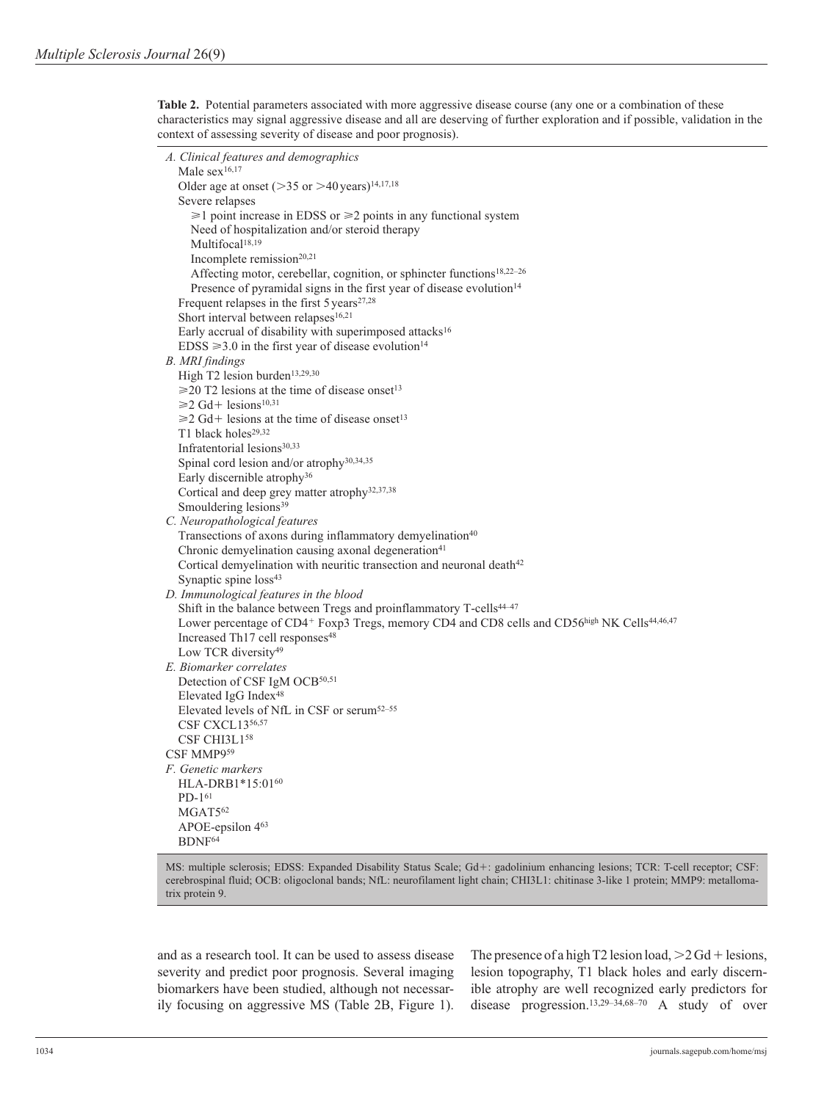**Table 2.** Potential parameters associated with more aggressive disease course (any one or a combination of these characteristics may signal aggressive disease and all are deserving of further exploration and if possible, validation in the context of assessing severity of disease and poor prognosis).

```
A. Clinical features and demographics
  Male sex<sup>16,17</sup>
  Older age at onset (>35 or >40 years)<sup>14,17,18</sup>
  Severe relapses
     \geq 1 point increase in EDSS or \geq 2 points in any functional system
      Need of hospitalization and/or steroid therapy
     Multifocal<sup>18,19</sup>
     Incomplete remission<sup>20,21</sup>
     Affecting motor, cerebellar, cognition, or sphincter functions<sup>18,22-26</sup>
     Presence of pyramidal signs in the first year of disease evolution<sup>14</sup>
  Frequent relapses in the first 5 \, \text{years}^{27,28}Short interval between relapses<sup>16,21</sup>
  Early accrual of disability with superimposed attacks<sup>16</sup>
  EDSS \geq 3.0 in the first year of disease evolution<sup>14</sup>
B. MRI findings
  High T2 lesion burden<sup>13,29,30</sup>
  \geq20 T2 lesions at the time of disease onset<sup>13</sup>
  \geq 2 Gd+ lesions<sup>10,31</sup>
  \geq 2 Gd+ lesions at the time of disease onset<sup>13</sup>
  T1 black holes<sup>29,32</sup>
  Infratentorial lesions30,33
  Spinal cord lesion and/or atrophy30,34,35
  Early discernible atrophy36
  Cortical and deep grey matter atrophy32,37,38
  Smouldering lesions<sup>39</sup>
C. Neuropathological features
  Transections of axons during inflammatory demyelination<sup>40</sup>
  Chronic demyelination causing axonal degeneration41Cortical demyelination with neuritic transection and neuronal death<sup>42</sup>
  Synaptic spine loss<sup>43</sup>
D. Immunological features in the blood
  Shift in the balance between Tregs and proinflammatory T-cells<sup>44-47</sup>
  Lower percentage of CD4+ Foxp3 Tregs, memory CD4 and CD8 cells and CD56high NK Cells<sup>44,46,47</sup>
  Increased Th17 cell responses<sup>48</sup>
  Low TCR diversity<sup>49</sup>
E. Biomarker correlates
  Detection of CSF IgM OCB<sup>50,51</sup>
  Elevated IgG Index48
  Elevated levels of NfL in CSF or serum52–55
  CSF CXCL1356,57
  CSF CHI3L158
CSF MMP959
F. Genetic markers
  HLA-DRB1*15:0160
  PD-161
  MGAT5<sup>62</sup>
  APOE-epsilon 463
  BDNF64
```
MS: multiple sclerosis; EDSS: Expanded Disability Status Scale; Gd+: gadolinium enhancing lesions; TCR: T-cell receptor; CSF: cerebrospinal fluid; OCB: oligoclonal bands; NfL: neurofilament light chain; CHI3L1: chitinase 3-like 1 protein; MMP9: metallomatrix protein 9.

and as a research tool. It can be used to assess disease severity and predict poor prognosis. Several imaging biomarkers have been studied, although not necessarily focusing on aggressive MS (Table 2B, Figure 1). The presence of a high T2 lesion load,  $>2$  Gd + lesions, lesion topography, T1 black holes and early discernible atrophy are well recognized early predictors for disease progression.<sup>13,29–34,68–70</sup> A study of over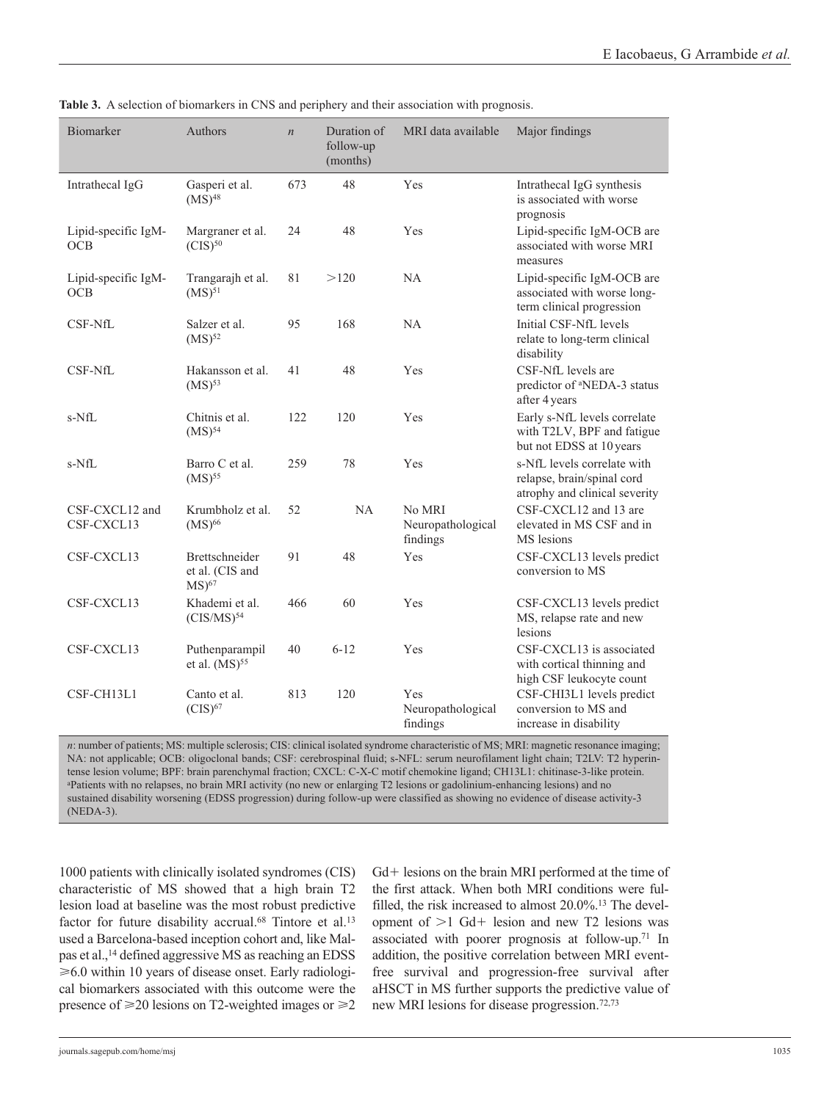| Biomarker                         | Authors                                                          | $\boldsymbol{n}$ | Duration of<br>follow-up<br>(months) | MRI data available                          | Major findings                                                                             |
|-----------------------------------|------------------------------------------------------------------|------------------|--------------------------------------|---------------------------------------------|--------------------------------------------------------------------------------------------|
| Intrathecal IgG                   | Gasperi et al.<br>$(MS)^{48}$                                    | 673              | 48                                   | Yes                                         | Intrathecal IgG synthesis<br>is associated with worse<br>prognosis                         |
| Lipid-specific IgM-<br><b>OCB</b> | Margraner et al.<br>$(CIS)^{50}$                                 | 24               | 48                                   | Yes                                         | Lipid-specific IgM-OCB are<br>associated with worse MRI<br>measures                        |
| Lipid-specific IgM-<br>OCB        | Trangarajh et al.<br>$(MS)^{51}$                                 | 81               | >120                                 | <b>NA</b>                                   | Lipid-specific IgM-OCB are<br>associated with worse long-<br>term clinical progression     |
| CSF-NfL                           | Salzer et al.<br>$(MS)^{52}$                                     | 95               | 168                                  | <b>NA</b>                                   | Initial CSF-NfL levels<br>relate to long-term clinical<br>disability                       |
| CSF-NfL                           | Hakansson et al.<br>$(MS)^{53}$                                  | 41               | 48                                   | Yes                                         | CSF-NfL levels are<br>predictor of <sup>a</sup> NEDA-3 status<br>after 4 years             |
| s-NfL                             | Chitnis et al.<br>(MS) <sup>54</sup>                             | 122              | 120                                  | Yes                                         | Early s-NfL levels correlate<br>with T2LV, BPF and fatigue<br>but not EDSS at 10 years     |
| s-NfL                             | Barro C et al.<br>$(MS)$ <sup>55</sup>                           | 259              | 78                                   | Yes                                         | s-NfL levels correlate with<br>relapse, brain/spinal cord<br>atrophy and clinical severity |
| CSF-CXCL12 and<br>CSF-CXCL13      | Krumbholz et al.<br>$(MS)$ <sup>66</sup>                         | 52               | NA                                   | No MRI<br>Neuropathological<br>findings     | CSF-CXCL12 and 13 are<br>elevated in MS CSF and in<br>MS lesions                           |
| CSF-CXCL13                        | <b>Brettschneider</b><br>et al. (CIS and<br>$MS$ ) <sup>67</sup> | 91               | 48                                   | Yes                                         | CSF-CXCL13 levels predict<br>conversion to MS                                              |
| CSF-CXCL13                        | Khademi et al.<br>$(CIS/MS)^{54}$                                | 466              | 60                                   | Yes                                         | CSF-CXCL13 levels predict<br>MS, relapse rate and new<br>lesions                           |
| CSF-CXCL13                        | Puthenparampil<br>et al. $(MS)$ <sup>55</sup>                    | 40               | $6 - 12$                             | Yes                                         | CSF-CXCL13 is associated<br>with cortical thinning and<br>high CSF leukocyte count         |
| CSF-CH13L1                        | Canto et al.<br>$(CIS)^{67}$                                     | 813              | 120                                  | <b>Yes</b><br>Neuropathological<br>findings | CSF-CHI3L1 levels predict<br>conversion to MS and<br>increase in disability                |

**Table 3.** A selection of biomarkers in CNS and periphery and their association with prognosis.

*n*: number of patients; MS: multiple sclerosis; CIS: clinical isolated syndrome characteristic of MS; MRI: magnetic resonance imaging; NA: not applicable; OCB: oligoclonal bands; CSF: cerebrospinal fluid; s-NFL: serum neurofilament light chain; T2LV: T2 hyperintense lesion volume; BPF: brain parenchymal fraction; CXCL: C-X-C motif chemokine ligand; CH13L1: chitinase-3-like protein. aPatients with no relapses, no brain MRI activity (no new or enlarging T2 lesions or gadolinium-enhancing lesions) and no sustained disability worsening (EDSS progression) during follow-up were classified as showing no evidence of disease activity-3 (NEDA-3).

1000 patients with clinically isolated syndromes (CIS) characteristic of MS showed that a high brain T2 lesion load at baseline was the most robust predictive factor for future disability accrual.<sup>68</sup> Tintore et al.<sup>13</sup> used a Barcelona-based inception cohort and, like Malpas et al.,<sup>14</sup> defined aggressive MS as reaching an EDSS  $\geq 6.0$  within 10 years of disease onset. Early radiological biomarkers associated with this outcome were the presence of  $\geq$ 20 lesions on T2-weighted images or  $\geq$ 2

Gd+ lesions on the brain MRI performed at the time of the first attack. When both MRI conditions were fulfilled, the risk increased to almost 20.0%.<sup>13</sup> The development of  $>1$  Gd+ lesion and new T2 lesions was associated with poorer prognosis at follow-up.<sup>71</sup> In addition, the positive correlation between MRI eventfree survival and progression-free survival after aHSCT in MS further supports the predictive value of new MRI lesions for disease progression.72,73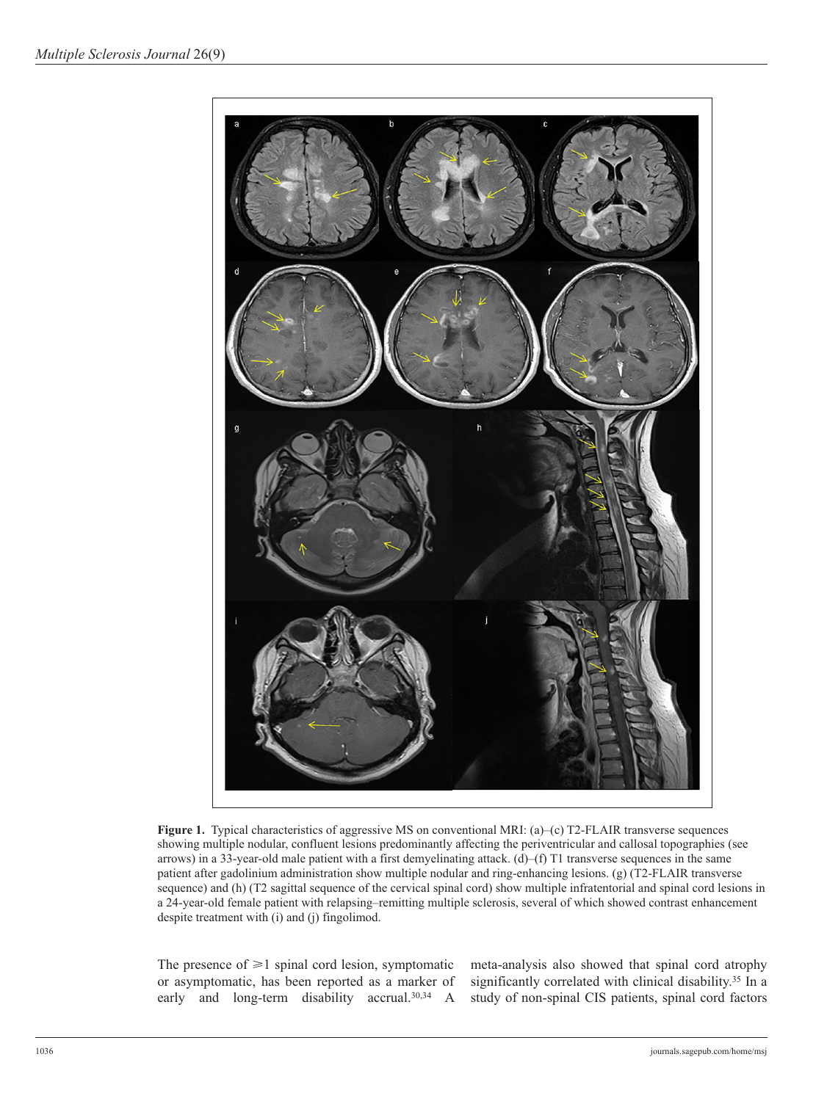

**Figure 1.** Typical characteristics of aggressive MS on conventional MRI: (a)–(c) T2-FLAIR transverse sequences showing multiple nodular, confluent lesions predominantly affecting the periventricular and callosal topographies (see arrows) in a 33-year-old male patient with a first demyelinating attack. (d)–(f) T1 transverse sequences in the same patient after gadolinium administration show multiple nodular and ring-enhancing lesions. (g) (T2-FLAIR transverse sequence) and (h) (T2 sagittal sequence of the cervical spinal cord) show multiple infratentorial and spinal cord lesions in a 24-year-old female patient with relapsing–remitting multiple sclerosis, several of which showed contrast enhancement despite treatment with (i) and (j) fingolimod.

The presence of  $\geq 1$  spinal cord lesion, symptomatic or asymptomatic, has been reported as a marker of early and long-term disability accrual.<sup>30,34</sup> A meta-analysis also showed that spinal cord atrophy significantly correlated with clinical disability.<sup>35</sup> In a study of non-spinal CIS patients, spinal cord factors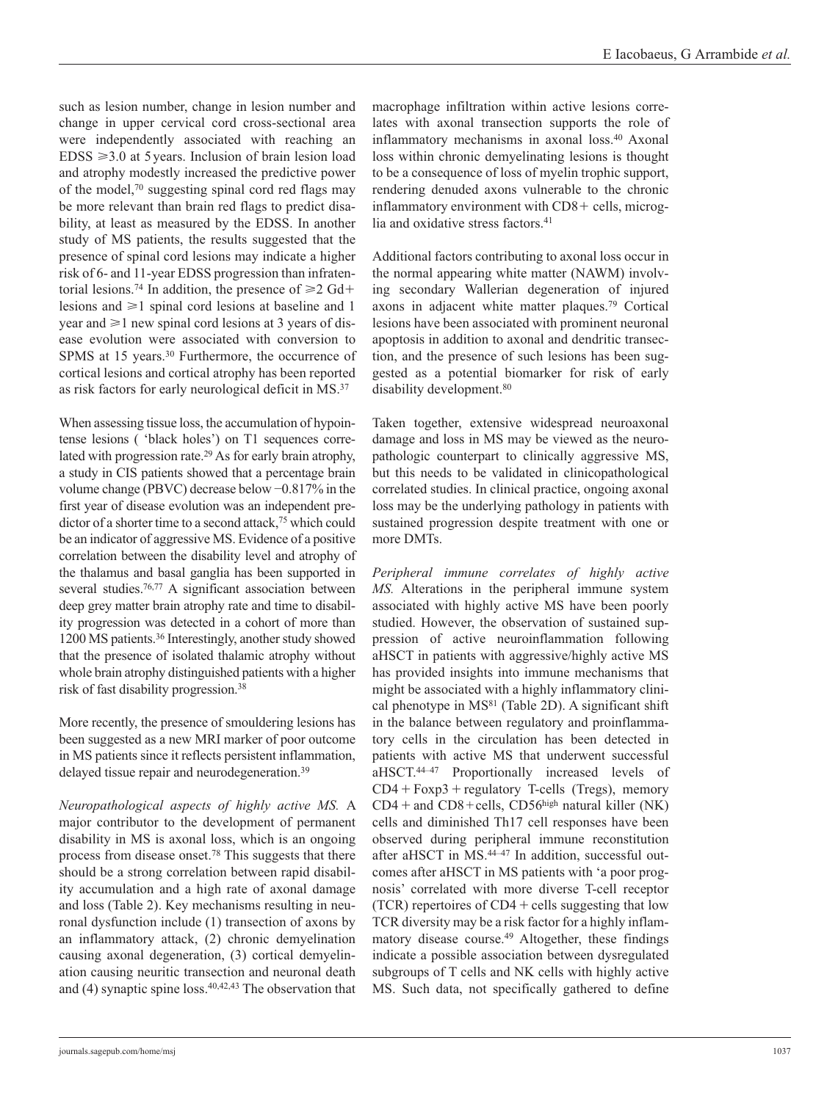such as lesion number, change in lesion number and change in upper cervical cord cross-sectional area were independently associated with reaching an  $EDSS \geq 3.0$  at 5 years. Inclusion of brain lesion load and atrophy modestly increased the predictive power of the model,70 suggesting spinal cord red flags may be more relevant than brain red flags to predict disability, at least as measured by the EDSS. In another study of MS patients, the results suggested that the presence of spinal cord lesions may indicate a higher risk of 6- and 11-year EDSS progression than infratentorial lesions.<sup>74</sup> In addition, the presence of  $\geq 2$  Gd+ lesions and  $\geq 1$  spinal cord lesions at baseline and 1 year and  $\geq 1$  new spinal cord lesions at 3 years of disease evolution were associated with conversion to SPMS at 15 years.<sup>30</sup> Furthermore, the occurrence of cortical lesions and cortical atrophy has been reported as risk factors for early neurological deficit in MS.37

When assessing tissue loss, the accumulation of hypointense lesions ( 'black holes') on T1 sequences correlated with progression rate.29 As for early brain atrophy, a study in CIS patients showed that a percentage brain volume change (PBVC) decrease below −0.817% in the first year of disease evolution was an independent predictor of a shorter time to a second attack,<sup>75</sup> which could be an indicator of aggressive MS. Evidence of a positive correlation between the disability level and atrophy of the thalamus and basal ganglia has been supported in several studies.<sup>76,77</sup> A significant association between deep grey matter brain atrophy rate and time to disability progression was detected in a cohort of more than 1200 MS patients.36 Interestingly, another study showed that the presence of isolated thalamic atrophy without whole brain atrophy distinguished patients with a higher risk of fast disability progression.38

More recently, the presence of smouldering lesions has been suggested as a new MRI marker of poor outcome in MS patients since it reflects persistent inflammation, delayed tissue repair and neurodegeneration.<sup>39</sup>

*Neuropathological aspects of highly active MS.* A major contributor to the development of permanent disability in MS is axonal loss, which is an ongoing process from disease onset.78 This suggests that there should be a strong correlation between rapid disability accumulation and a high rate of axonal damage and loss (Table 2). Key mechanisms resulting in neuronal dysfunction include (1) transection of axons by an inflammatory attack, (2) chronic demyelination causing axonal degeneration, (3) cortical demyelination causing neuritic transection and neuronal death and (4) synaptic spine loss. $40,42,43$  The observation that macrophage infiltration within active lesions correlates with axonal transection supports the role of inflammatory mechanisms in axonal loss.40 Axonal loss within chronic demyelinating lesions is thought to be a consequence of loss of myelin trophic support, rendering denuded axons vulnerable to the chronic inflammatory environment with CD8+ cells, microglia and oxidative stress factors.<sup>41</sup>

Additional factors contributing to axonal loss occur in the normal appearing white matter (NAWM) involving secondary Wallerian degeneration of injured axons in adjacent white matter plaques.79 Cortical lesions have been associated with prominent neuronal apoptosis in addition to axonal and dendritic transection, and the presence of such lesions has been suggested as a potential biomarker for risk of early disability development.<sup>80</sup>

Taken together, extensive widespread neuroaxonal damage and loss in MS may be viewed as the neuropathologic counterpart to clinically aggressive MS, but this needs to be validated in clinicopathological correlated studies. In clinical practice, ongoing axonal loss may be the underlying pathology in patients with sustained progression despite treatment with one or more DMTs.

*Peripheral immune correlates of highly active MS.* Alterations in the peripheral immune system associated with highly active MS have been poorly studied. However, the observation of sustained suppression of active neuroinflammation following aHSCT in patients with aggressive/highly active MS has provided insights into immune mechanisms that might be associated with a highly inflammatory clinical phenotype in  $MS<sup>81</sup>$  (Table 2D). A significant shift in the balance between regulatory and proinflammatory cells in the circulation has been detected in patients with active MS that underwent successful aHSCT.44–47 Proportionally increased levels of  $CD4 + Foxp3 + regularory$  T-cells (Tregs), memory  $CD4 +$  and  $CD8 +$ cells,  $CD56<sup>high</sup>$  natural killer (NK) cells and diminished Th17 cell responses have been observed during peripheral immune reconstitution after aHSCT in MS.<sup>44-47</sup> In addition, successful outcomes after aHSCT in MS patients with 'a poor prognosis' correlated with more diverse T-cell receptor (TCR) repertoires of  $CD4 +$ cells suggesting that low TCR diversity may be a risk factor for a highly inflammatory disease course.49 Altogether, these findings indicate a possible association between dysregulated subgroups of T cells and NK cells with highly active MS. Such data, not specifically gathered to define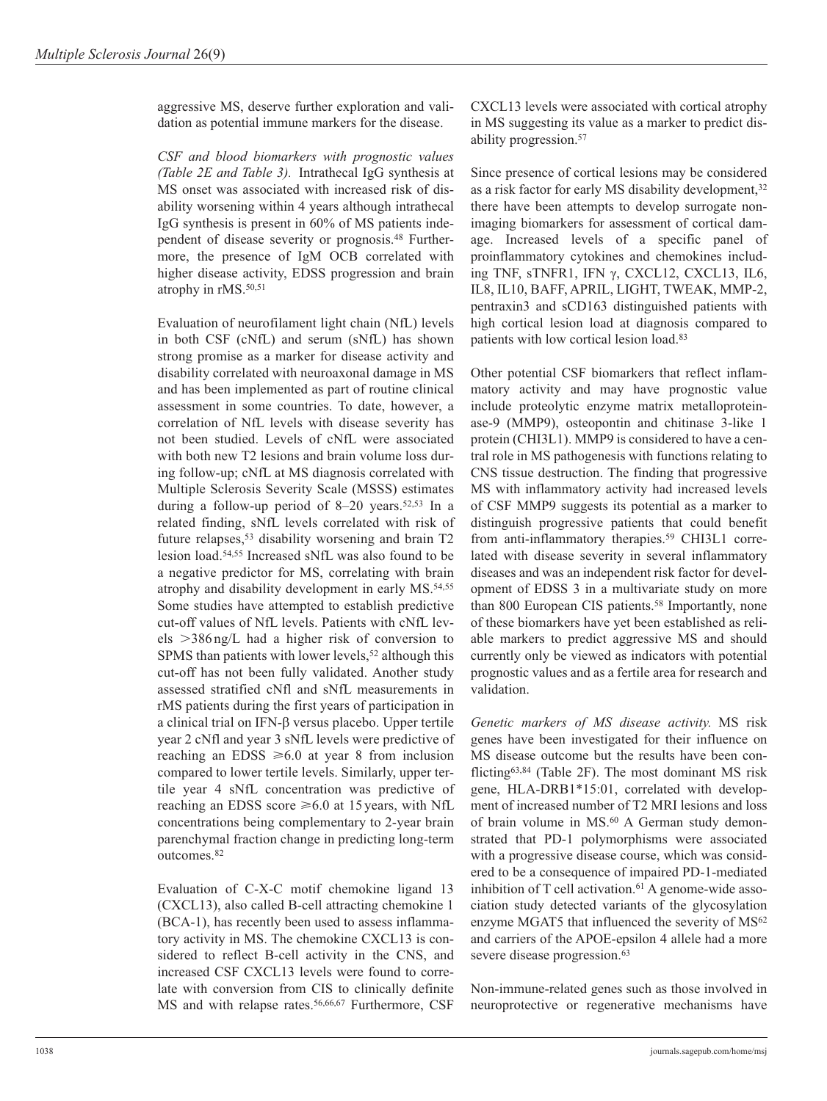aggressive MS, deserve further exploration and validation as potential immune markers for the disease.

*CSF and blood biomarkers with prognostic values (Table 2E and Table 3).* Intrathecal IgG synthesis at MS onset was associated with increased risk of disability worsening within 4 years although intrathecal IgG synthesis is present in 60% of MS patients independent of disease severity or prognosis.48 Furthermore, the presence of IgM OCB correlated with higher disease activity, EDSS progression and brain atrophy in rMS.<sup>50,51</sup>

Evaluation of neurofilament light chain (NfL) levels in both CSF (cNfL) and serum (sNfL) has shown strong promise as a marker for disease activity and disability correlated with neuroaxonal damage in MS and has been implemented as part of routine clinical assessment in some countries. To date, however, a correlation of NfL levels with disease severity has not been studied. Levels of cNfL were associated with both new T2 lesions and brain volume loss during follow-up; cNfL at MS diagnosis correlated with Multiple Sclerosis Severity Scale (MSSS) estimates during a follow-up period of  $8-20$  years.<sup>52,53</sup> In a related finding, sNfL levels correlated with risk of future relapses,<sup>53</sup> disability worsening and brain T2 lesion load.54,55 Increased sNfL was also found to be a negative predictor for MS, correlating with brain atrophy and disability development in early MS.54,55 Some studies have attempted to establish predictive cut-off values of NfL levels. Patients with cNfL levels >386 ng/L had a higher risk of conversion to SPMS than patients with lower levels,<sup>52</sup> although this cut-off has not been fully validated. Another study assessed stratified cNfl and sNfL measurements in rMS patients during the first years of participation in a clinical trial on IFN-β versus placebo. Upper tertile year 2 cNfl and year 3 sNfL levels were predictive of reaching an EDSS  $\geq 6.0$  at year 8 from inclusion compared to lower tertile levels. Similarly, upper tertile year 4 sNfL concentration was predictive of reaching an EDSS score  $\geq 6.0$  at 15 years, with NfL concentrations being complementary to 2-year brain parenchymal fraction change in predicting long-term outcomes.82

Evaluation of C-X-C motif chemokine ligand 13 (CXCL13), also called B-cell attracting chemokine 1 (BCA-1), has recently been used to assess inflammatory activity in MS. The chemokine CXCL13 is considered to reflect B-cell activity in the CNS, and increased CSF CXCL13 levels were found to correlate with conversion from CIS to clinically definite MS and with relapse rates.<sup>56,66,67</sup> Furthermore, CSF CXCL13 levels were associated with cortical atrophy in MS suggesting its value as a marker to predict disability progression.<sup>57</sup>

Since presence of cortical lesions may be considered as a risk factor for early MS disability development,32 there have been attempts to develop surrogate nonimaging biomarkers for assessment of cortical damage. Increased levels of a specific panel of proinflammatory cytokines and chemokines including TNF, sTNFR1, IFN γ, CXCL12, CXCL13, IL6, IL8, IL10, BAFF, APRIL, LIGHT, TWEAK, MMP-2, pentraxin3 and sCD163 distinguished patients with high cortical lesion load at diagnosis compared to patients with low cortical lesion load.83

Other potential CSF biomarkers that reflect inflammatory activity and may have prognostic value include proteolytic enzyme matrix metalloproteinase-9 (MMP9), osteopontin and chitinase 3-like 1 protein (CHI3L1). MMP9 is considered to have a central role in MS pathogenesis with functions relating to CNS tissue destruction. The finding that progressive MS with inflammatory activity had increased levels of CSF MMP9 suggests its potential as a marker to distinguish progressive patients that could benefit from anti-inflammatory therapies.<sup>59</sup> CHI3L1 correlated with disease severity in several inflammatory diseases and was an independent risk factor for development of EDSS 3 in a multivariate study on more than 800 European CIS patients.<sup>58</sup> Importantly, none of these biomarkers have yet been established as reliable markers to predict aggressive MS and should currently only be viewed as indicators with potential prognostic values and as a fertile area for research and validation.

*Genetic markers of MS disease activity.* MS risk genes have been investigated for their influence on MS disease outcome but the results have been conflicting63,84 (Table 2F). The most dominant MS risk gene, HLA-DRB1\*15:01, correlated with development of increased number of T2 MRI lesions and loss of brain volume in MS.<sup>60</sup> A German study demonstrated that PD-1 polymorphisms were associated with a progressive disease course, which was considered to be a consequence of impaired PD-1-mediated inhibition of T cell activation. $61$  A genome-wide association study detected variants of the glycosylation enzyme MGAT5 that influenced the severity of MS<sup>62</sup> and carriers of the APOE-epsilon 4 allele had a more severe disease progression.<sup>63</sup>

Non-immune-related genes such as those involved in neuroprotective or regenerative mechanisms have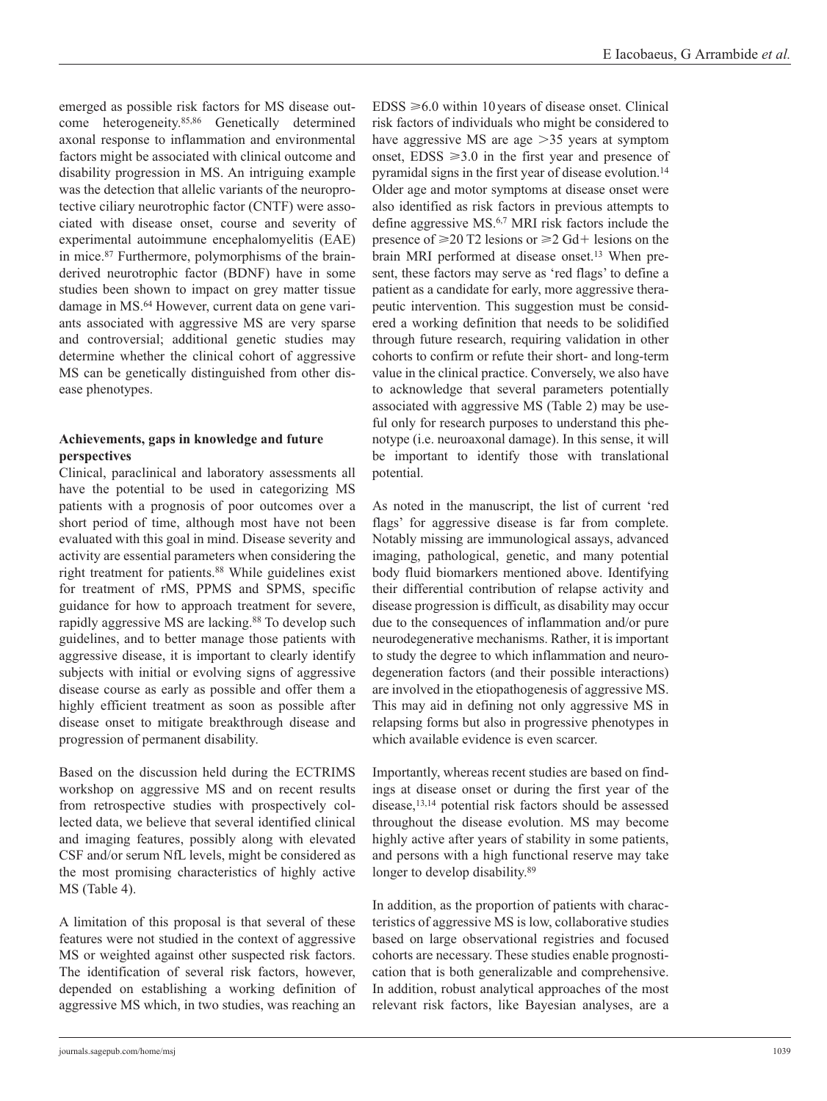emerged as possible risk factors for MS disease outcome heterogeneity.85,86 Genetically determined axonal response to inflammation and environmental factors might be associated with clinical outcome and disability progression in MS. An intriguing example was the detection that allelic variants of the neuroprotective ciliary neurotrophic factor (CNTF) were associated with disease onset, course and severity of experimental autoimmune encephalomyelitis (EAE) in mice.87 Furthermore, polymorphisms of the brainderived neurotrophic factor (BDNF) have in some studies been shown to impact on grey matter tissue damage in MS.64 However, current data on gene variants associated with aggressive MS are very sparse and controversial; additional genetic studies may determine whether the clinical cohort of aggressive MS can be genetically distinguished from other disease phenotypes.

# **Achievements, gaps in knowledge and future perspectives**

Clinical, paraclinical and laboratory assessments all have the potential to be used in categorizing MS patients with a prognosis of poor outcomes over a short period of time, although most have not been evaluated with this goal in mind. Disease severity and activity are essential parameters when considering the right treatment for patients.<sup>88</sup> While guidelines exist for treatment of rMS, PPMS and SPMS, specific guidance for how to approach treatment for severe, rapidly aggressive MS are lacking.88 To develop such guidelines, and to better manage those patients with aggressive disease, it is important to clearly identify subjects with initial or evolving signs of aggressive disease course as early as possible and offer them a highly efficient treatment as soon as possible after disease onset to mitigate breakthrough disease and progression of permanent disability.

Based on the discussion held during the ECTRIMS workshop on aggressive MS and on recent results from retrospective studies with prospectively collected data, we believe that several identified clinical and imaging features, possibly along with elevated CSF and/or serum NfL levels, might be considered as the most promising characteristics of highly active MS (Table 4).

A limitation of this proposal is that several of these features were not studied in the context of aggressive MS or weighted against other suspected risk factors. The identification of several risk factors, however, depended on establishing a working definition of aggressive MS which, in two studies, was reaching an  $EDSS \geq 6.0$  within 10 years of disease onset. Clinical risk factors of individuals who might be considered to have aggressive MS are age >35 years at symptom onset,  $EDSS \geq 3.0$  in the first year and presence of pyramidal signs in the first year of disease evolution.14 Older age and motor symptoms at disease onset were also identified as risk factors in previous attempts to define aggressive MS.6,7 MRI risk factors include the presence of  $\geq 20$  T2 lesions or  $\geq 2$  Gd+ lesions on the brain MRI performed at disease onset.13 When present, these factors may serve as 'red flags' to define a patient as a candidate for early, more aggressive therapeutic intervention. This suggestion must be considered a working definition that needs to be solidified through future research, requiring validation in other cohorts to confirm or refute their short- and long-term value in the clinical practice. Conversely, we also have to acknowledge that several parameters potentially associated with aggressive MS (Table 2) may be useful only for research purposes to understand this phenotype (i.e. neuroaxonal damage). In this sense, it will be important to identify those with translational potential.

As noted in the manuscript, the list of current 'red flags' for aggressive disease is far from complete. Notably missing are immunological assays, advanced imaging, pathological, genetic, and many potential body fluid biomarkers mentioned above. Identifying their differential contribution of relapse activity and disease progression is difficult, as disability may occur due to the consequences of inflammation and/or pure neurodegenerative mechanisms. Rather, it is important to study the degree to which inflammation and neurodegeneration factors (and their possible interactions) are involved in the etiopathogenesis of aggressive MS. This may aid in defining not only aggressive MS in relapsing forms but also in progressive phenotypes in which available evidence is even scarcer.

Importantly, whereas recent studies are based on findings at disease onset or during the first year of the disease,13,14 potential risk factors should be assessed throughout the disease evolution. MS may become highly active after years of stability in some patients, and persons with a high functional reserve may take longer to develop disability.<sup>89</sup>

In addition, as the proportion of patients with characteristics of aggressive MS is low, collaborative studies based on large observational registries and focused cohorts are necessary. These studies enable prognostication that is both generalizable and comprehensive. In addition, robust analytical approaches of the most relevant risk factors, like Bayesian analyses, are a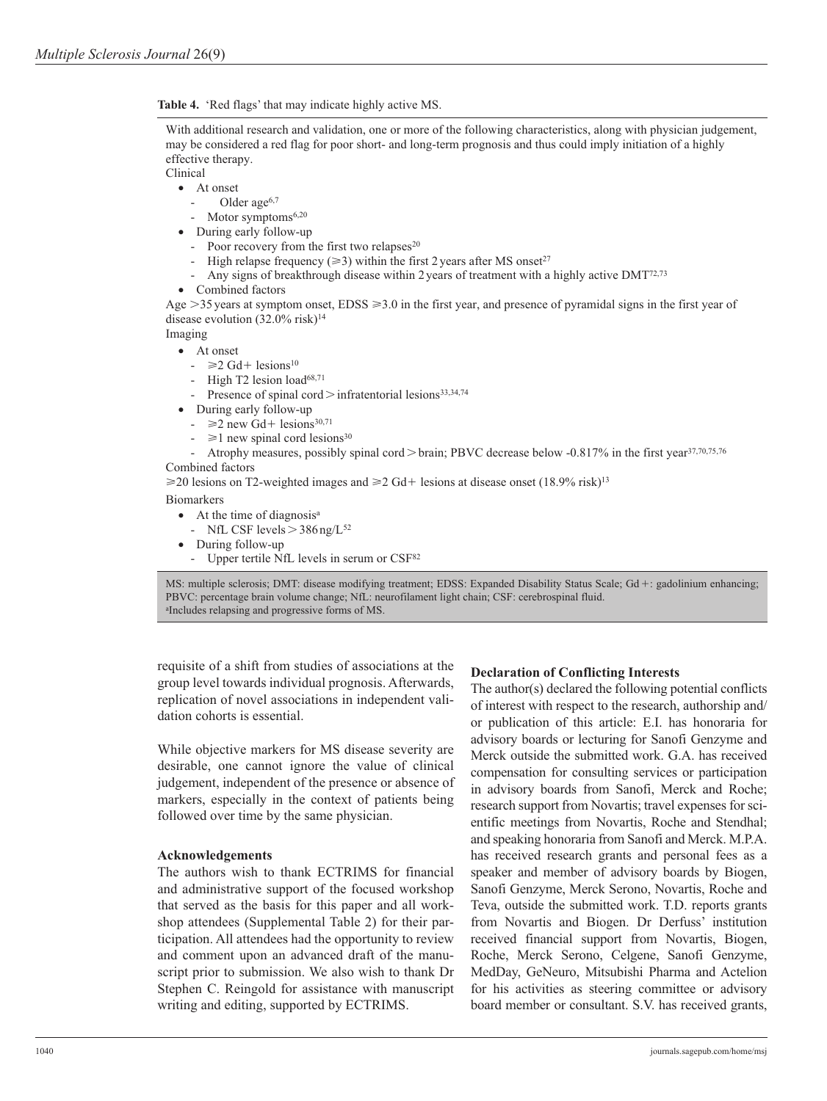**Table 4.** 'Red flags' that may indicate highly active MS.

With additional research and validation, one or more of the following characteristics, along with physician judgement, may be considered a red flag for poor short- and long-term prognosis and thus could imply initiation of a highly effective therapy.

Clinical

- At onset
	- Older age<sup>6,7</sup>
	- Motor symptoms<sup>6,20</sup>
- During early follow-up
	- Poor recovery from the first two relapses $20$
	- High relapse frequency ( $\geq$ 3) within the first 2 years after MS onset<sup>27</sup>
	- Any signs of breakthrough disease within 2 years of treatment with a highly active DMT<sup>72,73</sup>
- Combined factors

Age  $>$ 35 years at symptom onset, EDSS  $\geq$ 3.0 in the first year, and presence of pyramidal signs in the first year of disease evolution  $(32.0\% \text{ risk})^{14}$ 

Imaging

- At onset
	- $\geq 2$  Gd+ lesions<sup>10</sup>
	- High T2 lesion load<sup>68,71</sup>
	- Presence of spinal cord > infratentorial lesions<sup>33,34,74</sup>
- During early follow-up
	- $\geq$  new Gd+ lesions<sup>30,71</sup>
	- $\geq 1$  new spinal cord lesions<sup>30</sup>
- Atrophy measures, possibly spinal cord > brain; PBVC decrease below -0.817% in the first year<sup>37,70,75,76</sup> Combined factors

≥20 lesions on T2-weighted images and ≥2 Gd+ lesions at disease onset (18.9% risk)<sup>13</sup>

#### Biomarkers

- At the time of diagnosis<sup>a</sup>
	- NfL CSF levels  $>$  386 ng/L<sup>52</sup>
- During follow-up
	- Upper tertile NfL levels in serum or CSF<sup>82</sup>

MS: multiple sclerosis; DMT: disease modifying treatment; EDSS: Expanded Disability Status Scale; Gd+: gadolinium enhancing; PBVC: percentage brain volume change; NfL: neurofilament light chain; CSF: cerebrospinal fluid. aIncludes relapsing and progressive forms of MS.

requisite of a shift from studies of associations at the group level towards individual prognosis. Afterwards, replication of novel associations in independent validation cohorts is essential.

While objective markers for MS disease severity are desirable, one cannot ignore the value of clinical judgement, independent of the presence or absence of markers, especially in the context of patients being followed over time by the same physician.

#### **Acknowledgements**

The authors wish to thank ECTRIMS for financial and administrative support of the focused workshop that served as the basis for this paper and all workshop attendees (Supplemental Table 2) for their participation. All attendees had the opportunity to review and comment upon an advanced draft of the manuscript prior to submission. We also wish to thank Dr Stephen C. Reingold for assistance with manuscript writing and editing, supported by ECTRIMS.

## **Declaration of Conflicting Interests**

The author(s) declared the following potential conflicts of interest with respect to the research, authorship and/ or publication of this article: E.I. has honoraria for advisory boards or lecturing for Sanofi Genzyme and Merck outside the submitted work. G.A. has received compensation for consulting services or participation in advisory boards from Sanofi, Merck and Roche; research support from Novartis; travel expenses for scientific meetings from Novartis, Roche and Stendhal; and speaking honoraria from Sanofi and Merck. M.P.A. has received research grants and personal fees as a speaker and member of advisory boards by Biogen, Sanofi Genzyme, Merck Serono, Novartis, Roche and Teva, outside the submitted work. T.D. reports grants from Novartis and Biogen. Dr Derfuss' institution received financial support from Novartis, Biogen, Roche, Merck Serono, Celgene, Sanofi Genzyme, MedDay, GeNeuro, Mitsubishi Pharma and Actelion for his activities as steering committee or advisory board member or consultant. S.V. has received grants,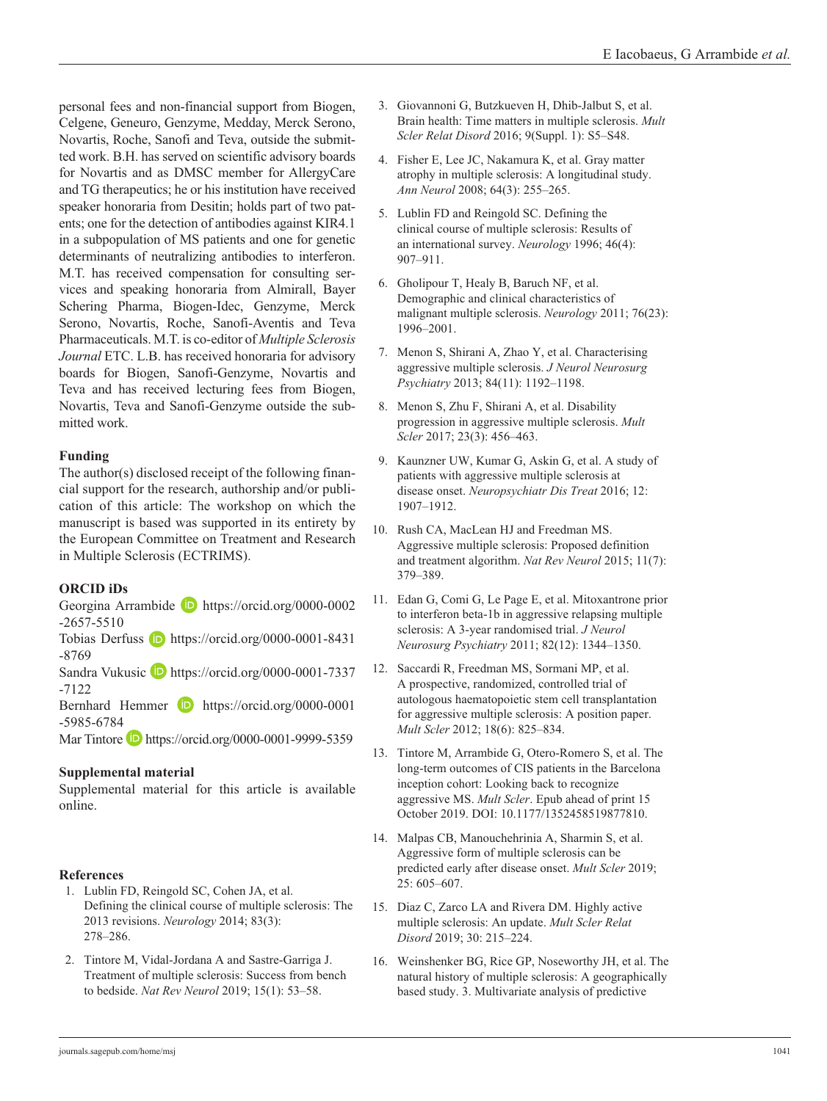personal fees and non-financial support from Biogen, Celgene, Geneuro, Genzyme, Medday, Merck Serono, Novartis, Roche, Sanofi and Teva, outside the submitted work. B.H. has served on scientific advisory boards for Novartis and as DMSC member for AllergyCare and TG therapeutics; he or his institution have received speaker honoraria from Desitin; holds part of two patents; one for the detection of antibodies against KIR4.1 in a subpopulation of MS patients and one for genetic determinants of neutralizing antibodies to interferon. M.T. has received compensation for consulting services and speaking honoraria from Almirall, Bayer Schering Pharma, Biogen-Idec, Genzyme, Merck Serono, Novartis, Roche, Sanofi-Aventis and Teva Pharmaceuticals. M.T. is co-editor of *Multiple Sclerosis Journal* ETC. L.B. has received honoraria for advisory boards for Biogen, Sanofi-Genzyme, Novartis and Teva and has received lecturing fees from Biogen, Novartis, Teva and Sanofi-Genzyme outside the submitted work.

# **Funding**

The author(s) disclosed receipt of the following financial support for the research, authorship and/or publication of this article: The workshop on which the manuscript is based was supported in its entirety by the European Committee on Treatment and Research in Multiple Sclerosis (ECTRIMS).

# **ORCID iDs**

Georgina Arrambide **b** [https://orcid.org/0000-0002](https://orcid.org/0000-0002-2657-5510) [-2657-5510](https://orcid.org/0000-0002-2657-5510)

Tobias Derfuss **D** [https://orcid.org/0000-0001-8431](https://orcid.org/0000-0001-8431-8769) [-8769](https://orcid.org/0000-0001-8431-8769)

Sandra Vukusic **[https://orcid.org/0000-0001-7337](https://orcid.org/0000-0001-7337-7122)** [-7122](https://orcid.org/0000-0001-7337-7122)

Bernhard Hemmer **iD** [https://orcid.org/0000-0001](https://orcid.org/0000-0001-5985-6784) [-5985-6784](https://orcid.org/0000-0001-5985-6784)

Mar Tintore D https://orcid.org/0000-0001-9999-5359

# **Supplemental material**

Supplemental material for this article is available online.

# **References**

- 1. Lublin FD, Reingold SC, Cohen JA, et al. Defining the clinical course of multiple sclerosis: The 2013 revisions. *Neurology* 2014; 83(3): 278–286.
- 2. Tintore M, Vidal-Jordana A and Sastre-Garriga J. Treatment of multiple sclerosis: Success from bench to bedside. *Nat Rev Neurol* 2019; 15(1): 53–58.
- 3. Giovannoni G, Butzkueven H, Dhib-Jalbut S, et al. Brain health: Time matters in multiple sclerosis. *Mult Scler Relat Disord* 2016; 9(Suppl. 1): S5–S48.
- 4. Fisher E, Lee JC, Nakamura K, et al. Gray matter atrophy in multiple sclerosis: A longitudinal study. *Ann Neurol* 2008; 64(3): 255–265.
- 5. Lublin FD and Reingold SC. Defining the clinical course of multiple sclerosis: Results of an international survey. *Neurology* 1996; 46(4): 907–911.
- 6. Gholipour T, Healy B, Baruch NF, et al. Demographic and clinical characteristics of malignant multiple sclerosis. *Neurology* 2011; 76(23): 1996–2001.
- 7. Menon S, Shirani A, Zhao Y, et al. Characterising aggressive multiple sclerosis. *J Neurol Neurosurg Psychiatry* 2013; 84(11): 1192–1198.
- 8. Menon S, Zhu F, Shirani A, et al. Disability progression in aggressive multiple sclerosis. *Mult Scler* 2017; 23(3): 456–463.
- 9. Kaunzner UW, Kumar G, Askin G, et al. A study of patients with aggressive multiple sclerosis at disease onset. *Neuropsychiatr Dis Treat* 2016; 12: 1907–1912.
- 10. Rush CA, MacLean HJ and Freedman MS. Aggressive multiple sclerosis: Proposed definition and treatment algorithm. *Nat Rev Neurol* 2015; 11(7): 379–389.
- 11. Edan G, Comi G, Le Page E, et al. Mitoxantrone prior to interferon beta-1b in aggressive relapsing multiple sclerosis: A 3-year randomised trial. *J Neurol Neurosurg Psychiatry* 2011; 82(12): 1344–1350.
- 12. Saccardi R, Freedman MS, Sormani MP, et al. A prospective, randomized, controlled trial of autologous haematopoietic stem cell transplantation for aggressive multiple sclerosis: A position paper. *Mult Scler* 2012; 18(6): 825–834.
- 13. Tintore M, Arrambide G, Otero-Romero S, et al. The long-term outcomes of CIS patients in the Barcelona inception cohort: Looking back to recognize aggressive MS. *Mult Scler*. Epub ahead of print 15 October 2019. DOI: 10.1177/1352458519877810.
- 14. Malpas CB, Manouchehrinia A, Sharmin S, et al. Aggressive form of multiple sclerosis can be predicted early after disease onset. *Mult Scler* 2019; 25: 605–607.
- 15. Diaz C, Zarco LA and Rivera DM. Highly active multiple sclerosis: An update. *Mult Scler Relat Disord* 2019; 30: 215–224.
- 16. Weinshenker BG, Rice GP, Noseworthy JH, et al. The natural history of multiple sclerosis: A geographically based study. 3. Multivariate analysis of predictive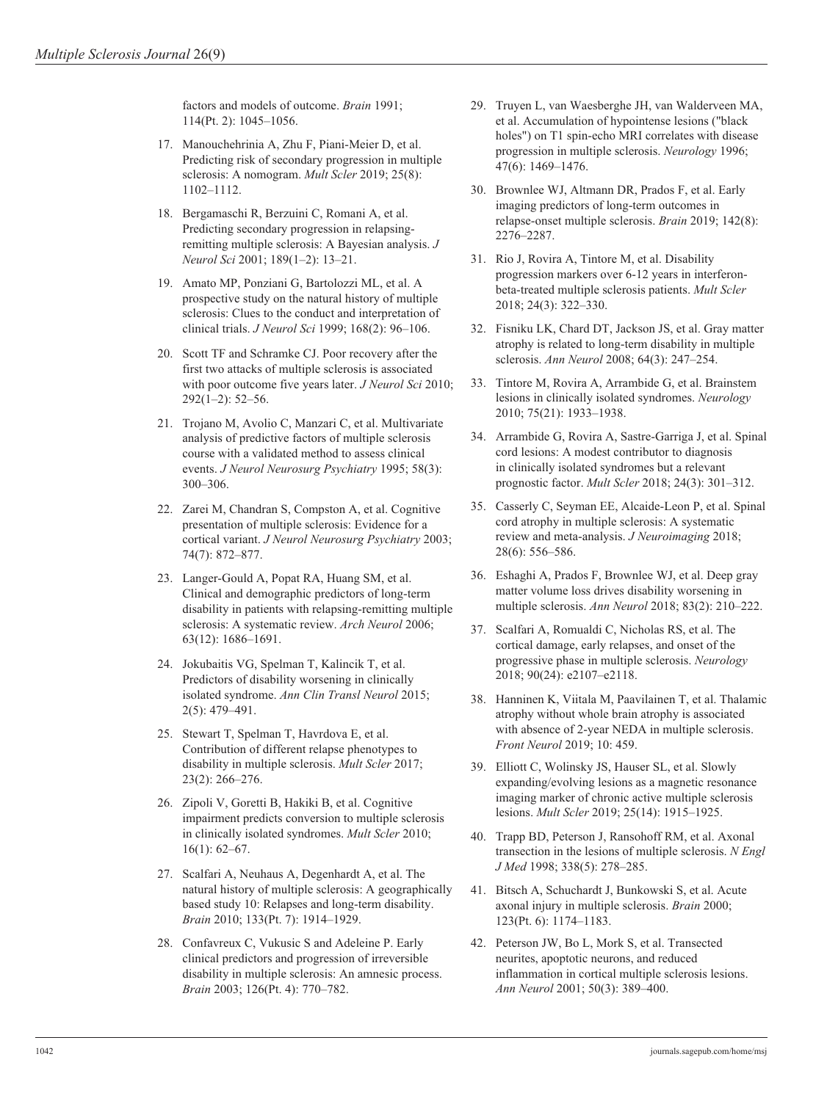factors and models of outcome. *Brain* 1991; 114(Pt. 2): 1045–1056.

- 17. Manouchehrinia A, Zhu F, Piani-Meier D, et al. Predicting risk of secondary progression in multiple sclerosis: A nomogram. *Mult Scler* 2019; 25(8): 1102–1112.
- 18. Bergamaschi R, Berzuini C, Romani A, et al. Predicting secondary progression in relapsingremitting multiple sclerosis: A Bayesian analysis. *J Neurol Sci* 2001; 189(1–2): 13–21.
- 19. Amato MP, Ponziani G, Bartolozzi ML, et al. A prospective study on the natural history of multiple sclerosis: Clues to the conduct and interpretation of clinical trials. *J Neurol Sci* 1999; 168(2): 96–106.
- 20. Scott TF and Schramke CJ. Poor recovery after the first two attacks of multiple sclerosis is associated with poor outcome five years later. *J Neurol Sci* 2010; 292(1–2): 52–56.
- 21. Trojano M, Avolio C, Manzari C, et al. Multivariate analysis of predictive factors of multiple sclerosis course with a validated method to assess clinical events. *J Neurol Neurosurg Psychiatry* 1995; 58(3): 300–306.
- 22. Zarei M, Chandran S, Compston A, et al. Cognitive presentation of multiple sclerosis: Evidence for a cortical variant. *J Neurol Neurosurg Psychiatry* 2003; 74(7): 872–877.
- 23. Langer-Gould A, Popat RA, Huang SM, et al. Clinical and demographic predictors of long-term disability in patients with relapsing-remitting multiple sclerosis: A systematic review. *Arch Neurol* 2006; 63(12): 1686–1691.
- 24. Jokubaitis VG, Spelman T, Kalincik T, et al. Predictors of disability worsening in clinically isolated syndrome. *Ann Clin Transl Neurol* 2015; 2(5): 479–491.
- 25. Stewart T, Spelman T, Havrdova E, et al. Contribution of different relapse phenotypes to disability in multiple sclerosis. *Mult Scler* 2017; 23(2): 266–276.
- 26. Zipoli V, Goretti B, Hakiki B, et al. Cognitive impairment predicts conversion to multiple sclerosis in clinically isolated syndromes. *Mult Scler* 2010; 16(1): 62–67.
- 27. Scalfari A, Neuhaus A, Degenhardt A, et al. The natural history of multiple sclerosis: A geographically based study 10: Relapses and long-term disability. *Brain* 2010; 133(Pt. 7): 1914–1929.
- 28. Confavreux C, Vukusic S and Adeleine P. Early clinical predictors and progression of irreversible disability in multiple sclerosis: An amnesic process. *Brain* 2003; 126(Pt. 4): 770–782.
- 29. Truyen L, van Waesberghe JH, van Walderveen MA, et al. Accumulation of hypointense lesions ("black holes") on T1 spin-echo MRI correlates with disease progression in multiple sclerosis. *Neurology* 1996; 47(6): 1469–1476.
- 30. Brownlee WJ, Altmann DR, Prados F, et al. Early imaging predictors of long-term outcomes in relapse-onset multiple sclerosis. *Brain* 2019; 142(8): 2276–2287.
- 31. Rio J, Rovira A, Tintore M, et al. Disability progression markers over 6-12 years in interferonbeta-treated multiple sclerosis patients. *Mult Scler* 2018; 24(3): 322–330.
- 32. Fisniku LK, Chard DT, Jackson JS, et al. Gray matter atrophy is related to long-term disability in multiple sclerosis. *Ann Neurol* 2008; 64(3): 247–254.
- 33. Tintore M, Rovira A, Arrambide G, et al. Brainstem lesions in clinically isolated syndromes. *Neurology* 2010; 75(21): 1933–1938.
- 34. Arrambide G, Rovira A, Sastre-Garriga J, et al. Spinal cord lesions: A modest contributor to diagnosis in clinically isolated syndromes but a relevant prognostic factor. *Mult Scler* 2018; 24(3): 301–312.
- 35. Casserly C, Seyman EE, Alcaide-Leon P, et al. Spinal cord atrophy in multiple sclerosis: A systematic review and meta-analysis. *J Neuroimaging* 2018; 28(6): 556–586.
- 36. Eshaghi A, Prados F, Brownlee WJ, et al. Deep gray matter volume loss drives disability worsening in multiple sclerosis. *Ann Neurol* 2018; 83(2): 210–222.
- 37. Scalfari A, Romualdi C, Nicholas RS, et al. The cortical damage, early relapses, and onset of the progressive phase in multiple sclerosis. *Neurology* 2018; 90(24): e2107–e2118.
- 38. Hanninen K, Viitala M, Paavilainen T, et al. Thalamic atrophy without whole brain atrophy is associated with absence of 2-year NEDA in multiple sclerosis. *Front Neurol* 2019; 10: 459.
- 39. Elliott C, Wolinsky JS, Hauser SL, et al. Slowly expanding/evolving lesions as a magnetic resonance imaging marker of chronic active multiple sclerosis lesions. *Mult Scler* 2019; 25(14): 1915–1925.
- 40. Trapp BD, Peterson J, Ransohoff RM, et al. Axonal transection in the lesions of multiple sclerosis. *N Engl J Med* 1998; 338(5): 278–285.
- 41. Bitsch A, Schuchardt J, Bunkowski S, et al. Acute axonal injury in multiple sclerosis. *Brain* 2000; 123(Pt. 6): 1174–1183.
- 42. Peterson JW, Bo L, Mork S, et al. Transected neurites, apoptotic neurons, and reduced inflammation in cortical multiple sclerosis lesions. *Ann Neurol* 2001; 50(3): 389–400.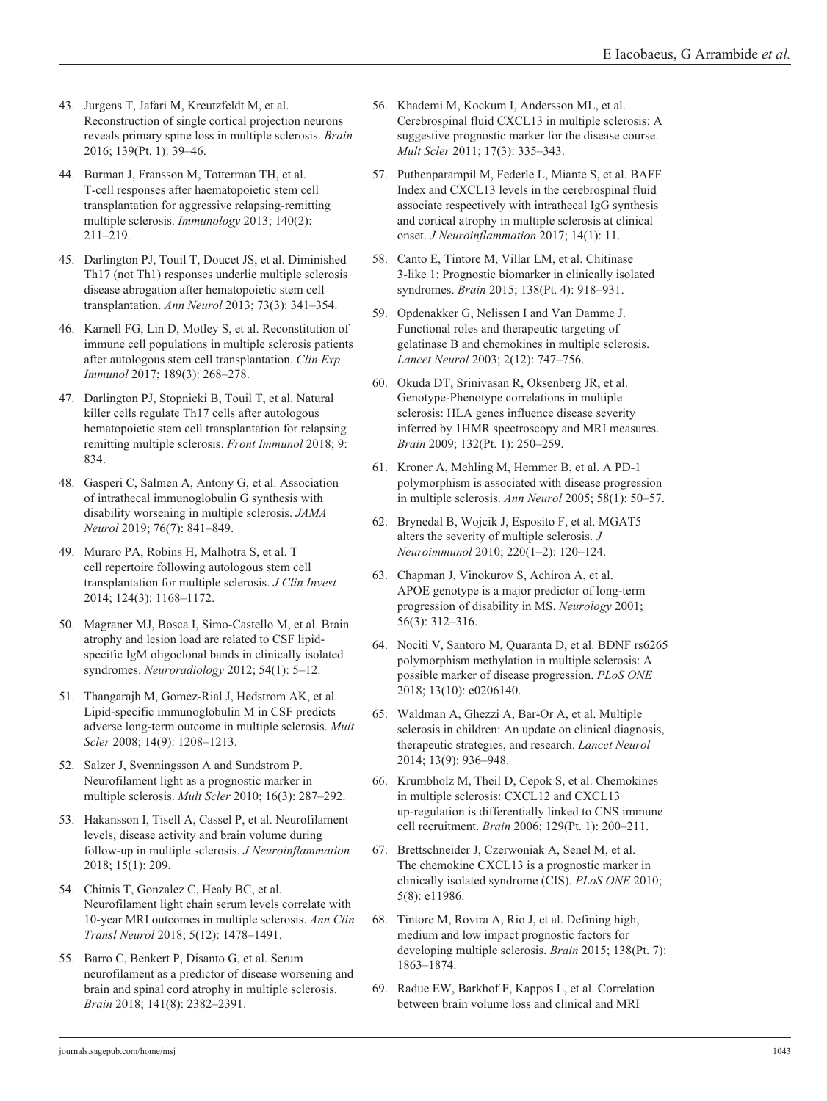- 43. Jurgens T, Jafari M, Kreutzfeldt M, et al. Reconstruction of single cortical projection neurons reveals primary spine loss in multiple sclerosis. *Brain* 2016; 139(Pt. 1): 39–46.
- 44. Burman J, Fransson M, Totterman TH, et al. T-cell responses after haematopoietic stem cell transplantation for aggressive relapsing-remitting multiple sclerosis. *Immunology* 2013; 140(2): 211–219.
- 45. Darlington PJ, Touil T, Doucet JS, et al. Diminished Th17 (not Th1) responses underlie multiple sclerosis disease abrogation after hematopoietic stem cell transplantation. *Ann Neurol* 2013; 73(3): 341–354.
- 46. Karnell FG, Lin D, Motley S, et al. Reconstitution of immune cell populations in multiple sclerosis patients after autologous stem cell transplantation. *Clin Exp Immunol* 2017; 189(3): 268–278.
- 47. Darlington PJ, Stopnicki B, Touil T, et al. Natural killer cells regulate Th17 cells after autologous hematopoietic stem cell transplantation for relapsing remitting multiple sclerosis. *Front Immunol* 2018; 9: 834.
- 48. Gasperi C, Salmen A, Antony G, et al. Association of intrathecal immunoglobulin G synthesis with disability worsening in multiple sclerosis. *JAMA Neurol* 2019; 76(7): 841–849.
- 49. Muraro PA, Robins H, Malhotra S, et al. T cell repertoire following autologous stem cell transplantation for multiple sclerosis. *J Clin Invest* 2014; 124(3): 1168–1172.
- 50. Magraner MJ, Bosca I, Simo-Castello M, et al. Brain atrophy and lesion load are related to CSF lipidspecific IgM oligoclonal bands in clinically isolated syndromes. *Neuroradiology* 2012; 54(1): 5–12.
- 51. Thangarajh M, Gomez-Rial J, Hedstrom AK, et al. Lipid-specific immunoglobulin M in CSF predicts adverse long-term outcome in multiple sclerosis. *Mult Scler* 2008; 14(9): 1208–1213.
- 52. Salzer J, Svenningsson A and Sundstrom P. Neurofilament light as a prognostic marker in multiple sclerosis. *Mult Scler* 2010; 16(3): 287–292.
- 53. Hakansson I, Tisell A, Cassel P, et al. Neurofilament levels, disease activity and brain volume during follow-up in multiple sclerosis. *J Neuroinflammation* 2018; 15(1): 209.
- 54. Chitnis T, Gonzalez C, Healy BC, et al. Neurofilament light chain serum levels correlate with 10-year MRI outcomes in multiple sclerosis. *Ann Clin Transl Neurol* 2018; 5(12): 1478–1491.
- 55. Barro C, Benkert P, Disanto G, et al. Serum neurofilament as a predictor of disease worsening and brain and spinal cord atrophy in multiple sclerosis. *Brain* 2018; 141(8): 2382–2391.
- 56. Khademi M, Kockum I, Andersson ML, et al. Cerebrospinal fluid CXCL13 in multiple sclerosis: A suggestive prognostic marker for the disease course. *Mult Scler* 2011; 17(3): 335–343.
- 57. Puthenparampil M, Federle L, Miante S, et al. BAFF Index and CXCL13 levels in the cerebrospinal fluid associate respectively with intrathecal IgG synthesis and cortical atrophy in multiple sclerosis at clinical onset. *J Neuroinflammation* 2017; 14(1): 11.
- 58. Canto E, Tintore M, Villar LM, et al. Chitinase 3-like 1: Prognostic biomarker in clinically isolated syndromes. *Brain* 2015; 138(Pt. 4): 918–931.
- 59. Opdenakker G, Nelissen I and Van Damme J. Functional roles and therapeutic targeting of gelatinase B and chemokines in multiple sclerosis. *Lancet Neurol* 2003; 2(12): 747–756.
- 60. Okuda DT, Srinivasan R, Oksenberg JR, et al. Genotype-Phenotype correlations in multiple sclerosis: HLA genes influence disease severity inferred by 1HMR spectroscopy and MRI measures. *Brain* 2009; 132(Pt. 1): 250–259.
- 61. Kroner A, Mehling M, Hemmer B, et al. A PD-1 polymorphism is associated with disease progression in multiple sclerosis. *Ann Neurol* 2005; 58(1): 50–57.
- 62. Brynedal B, Wojcik J, Esposito F, et al. MGAT5 alters the severity of multiple sclerosis. *J Neuroimmunol* 2010; 220(1–2): 120–124.
- 63. Chapman J, Vinokurov S, Achiron A, et al. APOE genotype is a major predictor of long-term progression of disability in MS. *Neurology* 2001; 56(3): 312–316.
- 64. Nociti V, Santoro M, Quaranta D, et al. BDNF rs6265 polymorphism methylation in multiple sclerosis: A possible marker of disease progression. *PLoS ONE* 2018; 13(10): e0206140.
- 65. Waldman A, Ghezzi A, Bar-Or A, et al. Multiple sclerosis in children: An update on clinical diagnosis, therapeutic strategies, and research. *Lancet Neurol* 2014; 13(9): 936–948.
- 66. Krumbholz M, Theil D, Cepok S, et al. Chemokines in multiple sclerosis: CXCL12 and CXCL13 up-regulation is differentially linked to CNS immune cell recruitment. *Brain* 2006; 129(Pt. 1): 200–211.
- 67. Brettschneider J, Czerwoniak A, Senel M, et al. The chemokine CXCL13 is a prognostic marker in clinically isolated syndrome (CIS). *PLoS ONE* 2010; 5(8): e11986.
- 68. Tintore M, Rovira A, Rio J, et al. Defining high, medium and low impact prognostic factors for developing multiple sclerosis. *Brain* 2015; 138(Pt. 7): 1863–1874.
- 69. Radue EW, Barkhof F, Kappos L, et al. Correlation between brain volume loss and clinical and MRI